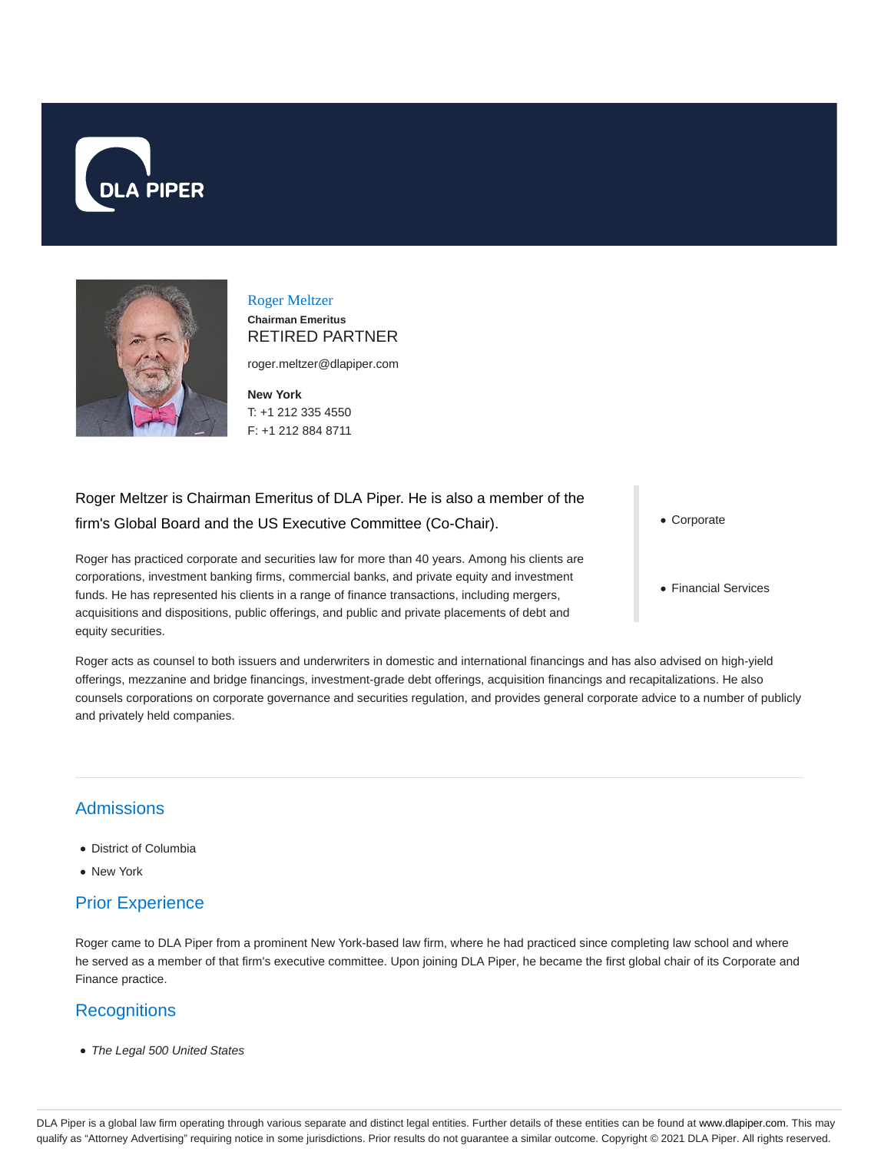



### Roger Meltzer **Chairman Emeritus** RETIRED PARTNER

roger.meltzer@dlapiper.com

**New York** T: +1 212 335 4550 F: +1 212 884 8711

# Roger Meltzer is Chairman Emeritus of DLA Piper. He is also a member of the firm's Global Board and the US Executive Committee (Co-Chair).

Roger has practiced corporate and securities law for more than 40 years. Among his clients are corporations, investment banking firms, commercial banks, and private equity and investment funds. He has represented his clients in a range of finance transactions, including mergers, acquisitions and dispositions, public offerings, and public and private placements of debt and equity securities.

Corporate

• Financial Services

Roger acts as counsel to both issuers and underwriters in domestic and international financings and has also advised on high-yield offerings, mezzanine and bridge financings, investment-grade debt offerings, acquisition financings and recapitalizations. He also counsels corporations on corporate governance and securities regulation, and provides general corporate advice to a number of publicly and privately held companies.

# **Admissions**

- District of Columbia
- New York

# Prior Experience

Roger came to DLA Piper from a prominent New York-based law firm, where he had practiced since completing law school and where he served as a member of that firm's executive committee. Upon joining DLA Piper, he became the first global chair of its Corporate and Finance practice.

### **Recognitions**

• The Legal 500 United States